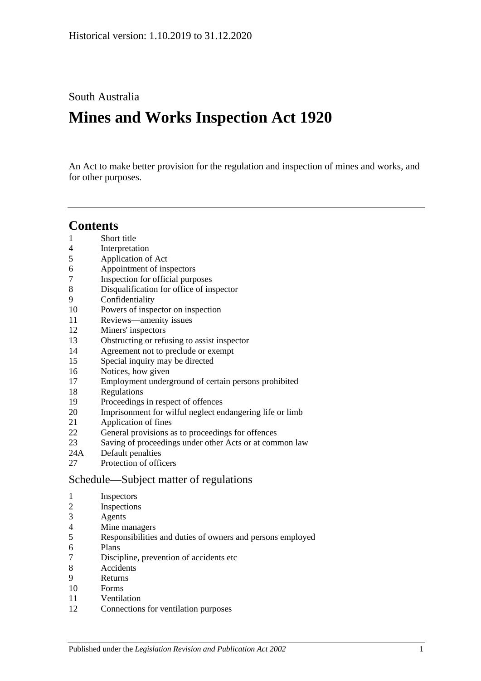South Australia

# **Mines and Works Inspection Act 1920**

An Act to make better provision for the regulation and inspection of mines and works, and for other purposes.

# **Contents**

- [Short title](#page-1-0)
- [Interpretation](#page-1-1)
- [Application of Act](#page-3-0)
- [Appointment of inspectors](#page-3-1)
- [Inspection for official purposes](#page-3-2)
- [Disqualification for office of inspector](#page-3-3)
- [Confidentiality](#page-4-0)
- [Powers of inspector on inspection](#page-4-1)
- [Reviews—amenity issues](#page-6-0)
- [Miners' inspectors](#page-6-1)
- [Obstructing or refusing to assist inspector](#page-7-0)
- [Agreement not to preclude or exempt](#page-7-1)
- [Special inquiry may be directed](#page-7-2)
- [Notices, how given](#page-7-3)
- [Employment underground of certain persons prohibited](#page-7-4)
- [Regulations](#page-8-0)
- [Proceedings in respect of offences](#page-8-1)
- [Imprisonment for wilful neglect endangering life or limb](#page-8-2)
- [Application of fines](#page-9-0)
- [General provisions as to proceedings for offences](#page-9-1)
- [Saving of proceedings under other Acts or at common law](#page-9-2)
- 24A [Default penalties](#page-10-0)
- [Protection of officers](#page-10-1)

## [Schedule—Subject matter of regulations](#page-10-2)

- [Inspectors](#page-10-3)
- [Inspections](#page-10-4)
- [Agents](#page-10-5)
- [Mine managers](#page-10-6)
- [Responsibilities and duties of owners and persons employed](#page-10-7)
- [Plans](#page-11-0)
- [Discipline, prevention of accidents etc](#page-11-1)
- [Accidents](#page-11-2)
- [Returns](#page-11-3)
- [Forms](#page-11-4)
- [Ventilation](#page-11-5)
- [Connections for ventilation purposes](#page-12-0)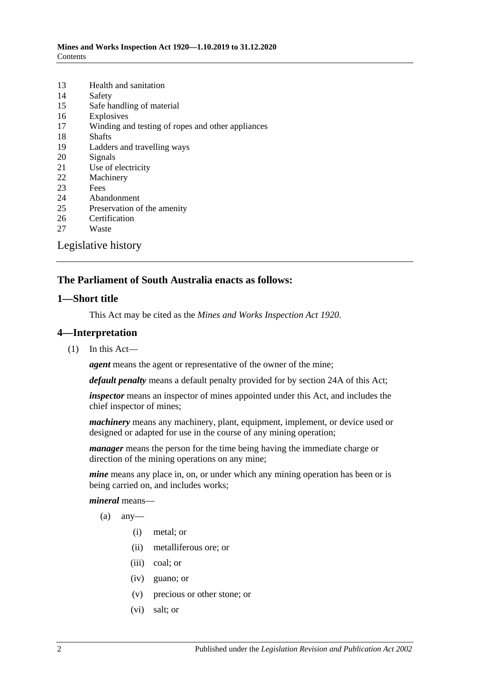| 13                  | Health and sanitation                             |  |
|---------------------|---------------------------------------------------|--|
| 14                  | Safety                                            |  |
| 15                  | Safe handling of material                         |  |
| 16                  | Explosives                                        |  |
| 17                  | Winding and testing of ropes and other appliances |  |
| 18                  | <b>Shafts</b>                                     |  |
| 19                  | Ladders and travelling ways                       |  |
| 20                  | Signals                                           |  |
| 21                  | Use of electricity                                |  |
| 22                  | Machinery                                         |  |
| 23                  | Fees                                              |  |
| 24                  | Abandonment                                       |  |
| 25                  | Preservation of the amenity                       |  |
| 26                  | Certification                                     |  |
| 27                  | Waste                                             |  |
| Legislative history |                                                   |  |

#### **The Parliament of South Australia enacts as follows:**

#### <span id="page-1-0"></span>**1—Short title**

This Act may be cited as the *Mines and Works Inspection Act 1920*.

#### <span id="page-1-1"></span>**4—Interpretation**

(1) In this Act—

*agent* means the agent or representative of the owner of the mine;

*default penalty* means a default penalty provided for by [section](#page-10-0) 24A of this Act;

*inspector* means an inspector of mines appointed under this Act, and includes the chief inspector of mines;

*machinery* means any machinery, plant, equipment, implement, or device used or designed or adapted for use in the course of any mining operation;

*manager* means the person for the time being having the immediate charge or direction of the mining operations on any mine;

*mine* means any place in, on, or under which any mining operation has been or is being carried on, and includes works;

*mineral* means—

- $(a)$  any-
	- (i) metal; or
	- (ii) metalliferous ore; or
	- (iii) coal; or
	- (iv) guano; or
	- (v) precious or other stone; or
	- (vi) salt; or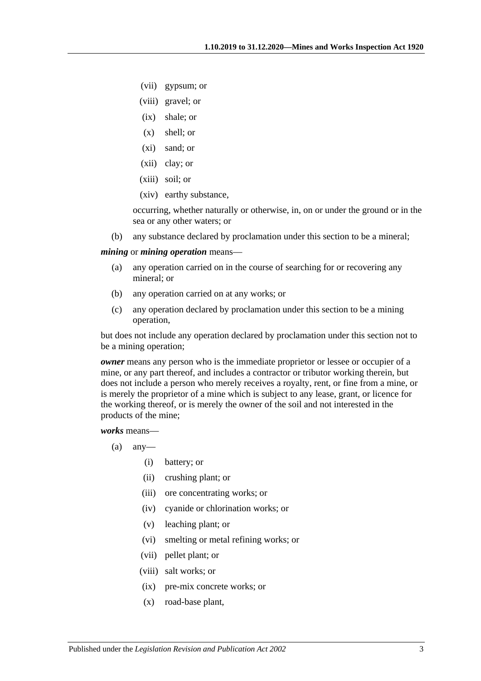- (vii) gypsum; or
- (viii) gravel; or
- (ix) shale; or
- (x) shell; or
- (xi) sand; or
- (xii) clay; or
- (xiii) soil; or
- (xiv) earthy substance,

occurring, whether naturally or otherwise, in, on or under the ground or in the sea or any other waters; or

(b) any substance declared by proclamation under this section to be a mineral;

#### <span id="page-2-0"></span>*mining* or *mining operation* means—

- (a) any operation carried on in the course of searching for or recovering any mineral; or
- (b) any operation carried on at any works; or
- (c) any operation declared by proclamation under this section to be a mining operation,

but does not include any operation declared by proclamation under this section not to be a mining operation;

*owner* means any person who is the immediate proprietor or lessee or occupier of a mine, or any part thereof, and includes a contractor or tributor working therein, but does not include a person who merely receives a royalty, rent, or fine from a mine, or is merely the proprietor of a mine which is subject to any lease, grant, or licence for the working thereof, or is merely the owner of the soil and not interested in the products of the mine;

*works* means—

- $(a)$  any-
	- (i) battery; or
	- (ii) crushing plant; or
	- (iii) ore concentrating works; or
	- (iv) cyanide or chlorination works; or
	- (v) leaching plant; or
	- (vi) smelting or metal refining works; or
	- (vii) pellet plant; or
	- (viii) salt works; or
	- (ix) pre-mix concrete works; or
	- (x) road-base plant,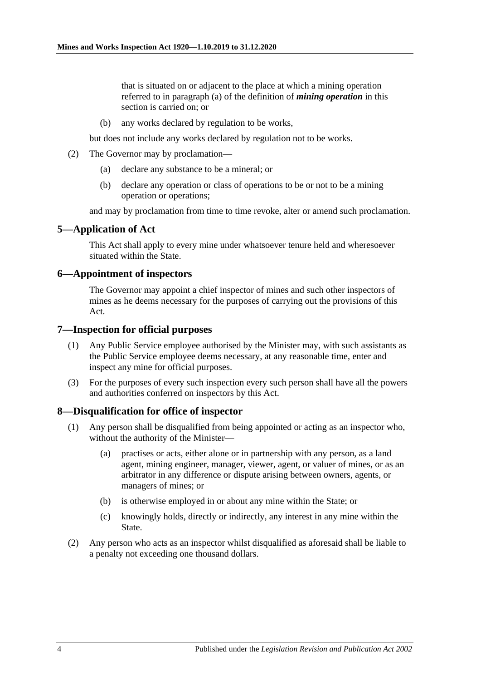that is situated on or adjacent to the place at which a mining operation referred to in [paragraph](#page-2-0) (a) of the definition of *mining operation* in this section is carried on; or

(b) any works declared by regulation to be works,

but does not include any works declared by regulation not to be works.

- (2) The Governor may by proclamation—
	- (a) declare any substance to be a mineral; or
	- (b) declare any operation or class of operations to be or not to be a mining operation or operations;

and may by proclamation from time to time revoke, alter or amend such proclamation.

#### <span id="page-3-0"></span>**5—Application of Act**

This Act shall apply to every mine under whatsoever tenure held and wheresoever situated within the State.

#### <span id="page-3-1"></span>**6—Appointment of inspectors**

The Governor may appoint a chief inspector of mines and such other inspectors of mines as he deems necessary for the purposes of carrying out the provisions of this Act.

#### <span id="page-3-2"></span>**7—Inspection for official purposes**

- (1) Any Public Service employee authorised by the Minister may, with such assistants as the Public Service employee deems necessary, at any reasonable time, enter and inspect any mine for official purposes.
- (3) For the purposes of every such inspection every such person shall have all the powers and authorities conferred on inspectors by this Act.

#### <span id="page-3-3"></span>**8—Disqualification for office of inspector**

- (1) Any person shall be disqualified from being appointed or acting as an inspector who, without the authority of the Minister—
	- (a) practises or acts, either alone or in partnership with any person, as a land agent, mining engineer, manager, viewer, agent, or valuer of mines, or as an arbitrator in any difference or dispute arising between owners, agents, or managers of mines; or
	- (b) is otherwise employed in or about any mine within the State; or
	- (c) knowingly holds, directly or indirectly, any interest in any mine within the State.
- (2) Any person who acts as an inspector whilst disqualified as aforesaid shall be liable to a penalty not exceeding one thousand dollars.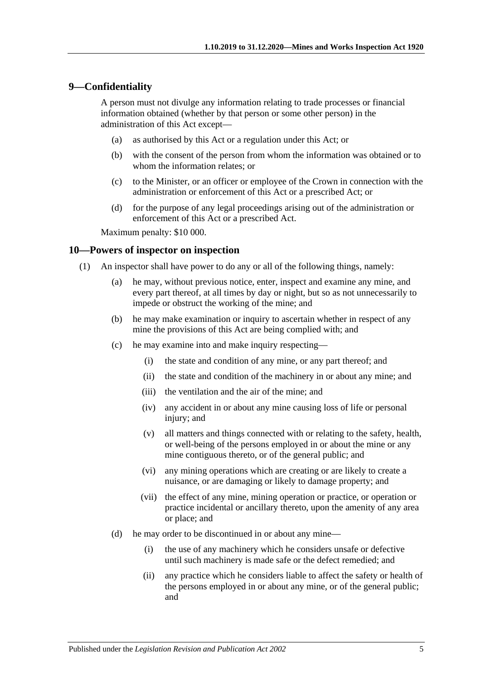#### <span id="page-4-0"></span>**9—Confidentiality**

A person must not divulge any information relating to trade processes or financial information obtained (whether by that person or some other person) in the administration of this Act except—

- (a) as authorised by this Act or a regulation under this Act; or
- (b) with the consent of the person from whom the information was obtained or to whom the information relates; or
- (c) to the Minister, or an officer or employee of the Crown in connection with the administration or enforcement of this Act or a prescribed Act; or
- (d) for the purpose of any legal proceedings arising out of the administration or enforcement of this Act or a prescribed Act.

Maximum penalty: \$10 000.

#### <span id="page-4-1"></span>**10—Powers of inspector on inspection**

- (1) An inspector shall have power to do any or all of the following things, namely:
	- (a) he may, without previous notice, enter, inspect and examine any mine, and every part thereof, at all times by day or night, but so as not unnecessarily to impede or obstruct the working of the mine; and
	- (b) he may make examination or inquiry to ascertain whether in respect of any mine the provisions of this Act are being complied with; and
	- (c) he may examine into and make inquiry respecting—
		- (i) the state and condition of any mine, or any part thereof; and
		- (ii) the state and condition of the machinery in or about any mine; and
		- (iii) the ventilation and the air of the mine; and
		- (iv) any accident in or about any mine causing loss of life or personal injury; and
		- (v) all matters and things connected with or relating to the safety, health, or well-being of the persons employed in or about the mine or any mine contiguous thereto, or of the general public; and
		- (vi) any mining operations which are creating or are likely to create a nuisance, or are damaging or likely to damage property; and
		- (vii) the effect of any mine, mining operation or practice, or operation or practice incidental or ancillary thereto, upon the amenity of any area or place; and
	- (d) he may order to be discontinued in or about any mine—
		- (i) the use of any machinery which he considers unsafe or defective until such machinery is made safe or the defect remedied; and
		- (ii) any practice which he considers liable to affect the safety or health of the persons employed in or about any mine, or of the general public; and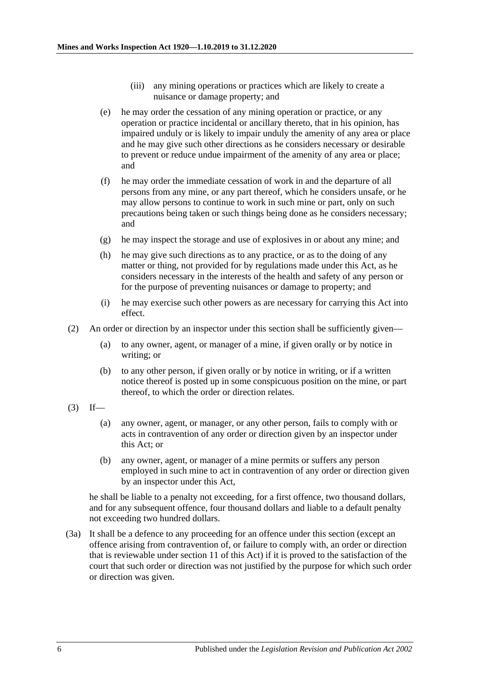- (iii) any mining operations or practices which are likely to create a nuisance or damage property; and
- <span id="page-5-1"></span>(e) he may order the cessation of any mining operation or practice, or any operation or practice incidental or ancillary thereto, that in his opinion, has impaired unduly or is likely to impair unduly the amenity of any area or place and he may give such other directions as he considers necessary or desirable to prevent or reduce undue impairment of the amenity of any area or place; and
- (f) he may order the immediate cessation of work in and the departure of all persons from any mine, or any part thereof, which he considers unsafe, or he may allow persons to continue to work in such mine or part, only on such precautions being taken or such things being done as he considers necessary; and
- (g) he may inspect the storage and use of explosives in or about any mine; and
- (h) he may give such directions as to any practice, or as to the doing of any matter or thing, not provided for by regulations made under this Act, as he considers necessary in the interests of the health and safety of any person or for the purpose of preventing nuisances or damage to property; and
- (i) he may exercise such other powers as are necessary for carrying this Act into effect.
- (2) An order or direction by an inspector under this section shall be sufficiently given—
	- (a) to any owner, agent, or manager of a mine, if given orally or by notice in writing; or
	- (b) to any other person, if given orally or by notice in writing, or if a written notice thereof is posted up in some conspicuous position on the mine, or part thereof, to which the order or direction relates.
- <span id="page-5-0"></span> $(3)$  If—
	- (a) any owner, agent, or manager, or any other person, fails to comply with or acts in contravention of any order or direction given by an inspector under this Act; or
	- (b) any owner, agent, or manager of a mine permits or suffers any person employed in such mine to act in contravention of any order or direction given by an inspector under this Act,

he shall be liable to a penalty not exceeding, for a first offence, two thousand dollars, and for any subsequent offence, four thousand dollars and liable to a default penalty not exceeding two hundred dollars.

(3a) It shall be a defence to any proceeding for an offence under this section (except an offence arising from contravention of, or failure to comply with, an order or direction that is reviewable under [section](#page-6-0) 11 of this Act) if it is proved to the satisfaction of the court that such order or direction was not justified by the purpose for which such order or direction was given.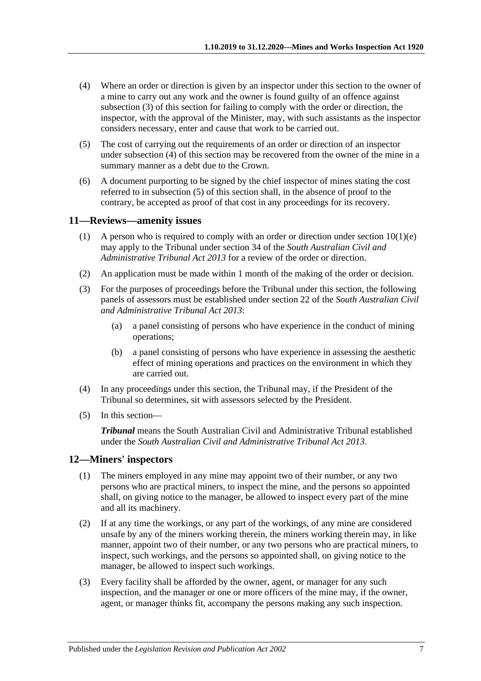- <span id="page-6-2"></span>(4) Where an order or direction is given by an inspector under this section to the owner of a mine to carry out any work and the owner is found guilty of an offence against [subsection](#page-5-0) (3) of this section for failing to comply with the order or direction, the inspector, with the approval of the Minister, may, with such assistants as the inspector considers necessary, enter and cause that work to be carried out.
- <span id="page-6-3"></span>(5) The cost of carrying out the requirements of an order or direction of an inspector under [subsection](#page-6-2) (4) of this section may be recovered from the owner of the mine in a summary manner as a debt due to the Crown.
- (6) A document purporting to be signed by the chief inspector of mines stating the cost referred to in [subsection](#page-6-3) (5) of this section shall, in the absence of proof to the contrary, be accepted as proof of that cost in any proceedings for its recovery.

#### <span id="page-6-0"></span>**11—Reviews—amenity issues**

- (1) A person who is required to comply with an order or direction under section  $10(1)(e)$ may apply to the Tribunal under section 34 of the *[South Australian Civil and](http://www.legislation.sa.gov.au/index.aspx?action=legref&type=act&legtitle=South%20Australian%20Civil%20and%20Administrative%20Tribunal%20Act%202013)  [Administrative Tribunal Act](http://www.legislation.sa.gov.au/index.aspx?action=legref&type=act&legtitle=South%20Australian%20Civil%20and%20Administrative%20Tribunal%20Act%202013) 2013* for a review of the order or direction.
- (2) An application must be made within 1 month of the making of the order or decision.
- (3) For the purposes of proceedings before the Tribunal under this section, the following panels of assessors must be established under section 22 of the *[South Australian Civil](http://www.legislation.sa.gov.au/index.aspx?action=legref&type=act&legtitle=South%20Australian%20Civil%20and%20Administrative%20Tribunal%20Act%202013)  [and Administrative Tribunal Act](http://www.legislation.sa.gov.au/index.aspx?action=legref&type=act&legtitle=South%20Australian%20Civil%20and%20Administrative%20Tribunal%20Act%202013) 2013*:
	- (a) a panel consisting of persons who have experience in the conduct of mining operations;
	- (b) a panel consisting of persons who have experience in assessing the aesthetic effect of mining operations and practices on the environment in which they are carried out.
- (4) In any proceedings under this section, the Tribunal may, if the President of the Tribunal so determines, sit with assessors selected by the President.
- (5) In this section—

*Tribunal* means the South Australian Civil and Administrative Tribunal established under the *[South Australian Civil and Administrative Tribunal Act](http://www.legislation.sa.gov.au/index.aspx?action=legref&type=act&legtitle=South%20Australian%20Civil%20and%20Administrative%20Tribunal%20Act%202013) 2013*.

#### <span id="page-6-1"></span>**12—Miners' inspectors**

- (1) The miners employed in any mine may appoint two of their number, or any two persons who are practical miners, to inspect the mine, and the persons so appointed shall, on giving notice to the manager, be allowed to inspect every part of the mine and all its machinery.
- (2) If at any time the workings, or any part of the workings, of any mine are considered unsafe by any of the miners working therein, the miners working therein may, in like manner, appoint two of their number, or any two persons who are practical miners, to inspect, such workings, and the persons so appointed shall, on giving notice to the manager, be allowed to inspect such workings.
- (3) Every facility shall be afforded by the owner, agent, or manager for any such inspection, and the manager or one or more officers of the mine may, if the owner, agent, or manager thinks fit, accompany the persons making any such inspection.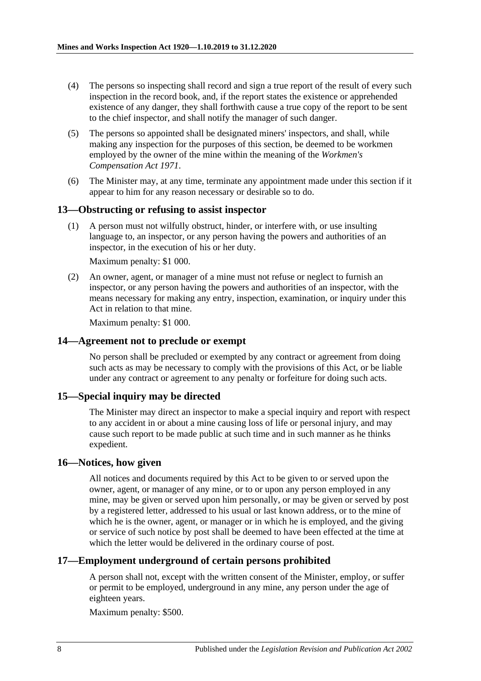- (4) The persons so inspecting shall record and sign a true report of the result of every such inspection in the record book, and, if the report states the existence or apprehended existence of any danger, they shall forthwith cause a true copy of the report to be sent to the chief inspector, and shall notify the manager of such danger.
- (5) The persons so appointed shall be designated miners' inspectors, and shall, while making any inspection for the purposes of this section, be deemed to be workmen employed by the owner of the mine within the meaning of the *[Workmen's](http://www.legislation.sa.gov.au/index.aspx?action=legref&type=act&legtitle=Workmens%20Compensation%20Act%201971)  [Compensation Act](http://www.legislation.sa.gov.au/index.aspx?action=legref&type=act&legtitle=Workmens%20Compensation%20Act%201971) 1971*.
- (6) The Minister may, at any time, terminate any appointment made under this section if it appear to him for any reason necessary or desirable so to do.

#### <span id="page-7-0"></span>**13—Obstructing or refusing to assist inspector**

(1) A person must not wilfully obstruct, hinder, or interfere with, or use insulting language to, an inspector, or any person having the powers and authorities of an inspector, in the execution of his or her duty.

Maximum penalty: \$1 000.

(2) An owner, agent, or manager of a mine must not refuse or neglect to furnish an inspector, or any person having the powers and authorities of an inspector, with the means necessary for making any entry, inspection, examination, or inquiry under this Act in relation to that mine.

Maximum penalty: \$1 000.

#### <span id="page-7-1"></span>**14—Agreement not to preclude or exempt**

No person shall be precluded or exempted by any contract or agreement from doing such acts as may be necessary to comply with the provisions of this Act, or be liable under any contract or agreement to any penalty or forfeiture for doing such acts.

#### <span id="page-7-2"></span>**15—Special inquiry may be directed**

The Minister may direct an inspector to make a special inquiry and report with respect to any accident in or about a mine causing loss of life or personal injury, and may cause such report to be made public at such time and in such manner as he thinks expedient.

#### <span id="page-7-3"></span>**16—Notices, how given**

All notices and documents required by this Act to be given to or served upon the owner, agent, or manager of any mine, or to or upon any person employed in any mine, may be given or served upon him personally, or may be given or served by post by a registered letter, addressed to his usual or last known address, or to the mine of which he is the owner, agent, or manager or in which he is employed, and the giving or service of such notice by post shall be deemed to have been effected at the time at which the letter would be delivered in the ordinary course of post.

#### <span id="page-7-4"></span>**17—Employment underground of certain persons prohibited**

A person shall not, except with the written consent of the Minister, employ, or suffer or permit to be employed, underground in any mine, any person under the age of eighteen years.

Maximum penalty: \$500.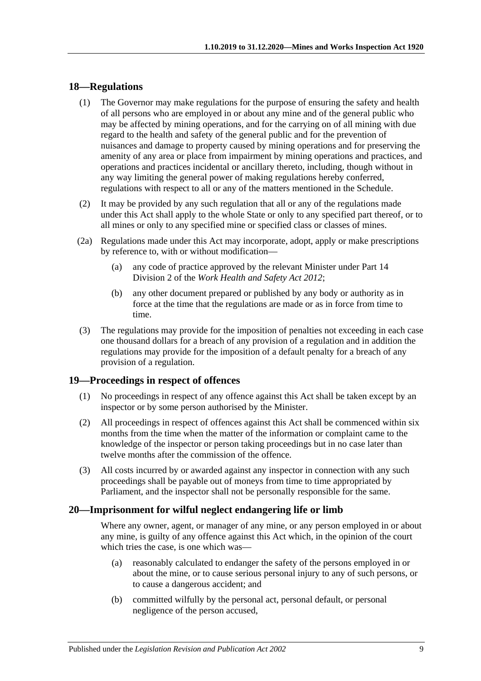#### <span id="page-8-0"></span>**18—Regulations**

- (1) The Governor may make regulations for the purpose of ensuring the safety and health of all persons who are employed in or about any mine and of the general public who may be affected by mining operations, and for the carrying on of all mining with due regard to the health and safety of the general public and for the prevention of nuisances and damage to property caused by mining operations and for preserving the amenity of any area or place from impairment by mining operations and practices, and operations and practices incidental or ancillary thereto, including, though without in any way limiting the general power of making regulations hereby conferred, regulations with respect to all or any of the matters mentioned in the [Schedule.](#page-10-2)
- (2) It may be provided by any such regulation that all or any of the regulations made under this Act shall apply to the whole State or only to any specified part thereof, or to all mines or only to any specified mine or specified class or classes of mines.
- (2a) Regulations made under this Act may incorporate, adopt, apply or make prescriptions by reference to, with or without modification—
	- (a) any code of practice approved by the relevant Minister under Part 14 Division 2 of the *[Work Health and Safety Act](http://www.legislation.sa.gov.au/index.aspx?action=legref&type=act&legtitle=Work%20Health%20and%20Safety%20Act%202012) 2012*;
	- (b) any other document prepared or published by any body or authority as in force at the time that the regulations are made or as in force from time to time.
- (3) The regulations may provide for the imposition of penalties not exceeding in each case one thousand dollars for a breach of any provision of a regulation and in addition the regulations may provide for the imposition of a default penalty for a breach of any provision of a regulation.

#### <span id="page-8-1"></span>**19—Proceedings in respect of offences**

- (1) No proceedings in respect of any offence against this Act shall be taken except by an inspector or by some person authorised by the Minister.
- (2) All proceedings in respect of offences against this Act shall be commenced within six months from the time when the matter of the information or complaint came to the knowledge of the inspector or person taking proceedings but in no case later than twelve months after the commission of the offence.
- (3) All costs incurred by or awarded against any inspector in connection with any such proceedings shall be payable out of moneys from time to time appropriated by Parliament, and the inspector shall not be personally responsible for the same.

#### <span id="page-8-2"></span>**20—Imprisonment for wilful neglect endangering life or limb**

Where any owner, agent, or manager of any mine, or any person employed in or about any mine, is guilty of any offence against this Act which, in the opinion of the court which tries the case, is one which was—

- (a) reasonably calculated to endanger the safety of the persons employed in or about the mine, or to cause serious personal injury to any of such persons, or to cause a dangerous accident; and
- (b) committed wilfully by the personal act, personal default, or personal negligence of the person accused,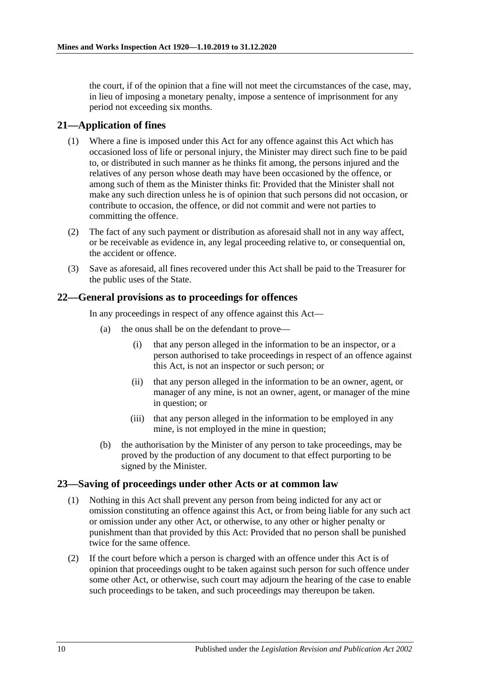the court, if of the opinion that a fine will not meet the circumstances of the case, may, in lieu of imposing a monetary penalty, impose a sentence of imprisonment for any period not exceeding six months.

### <span id="page-9-0"></span>**21—Application of fines**

- (1) Where a fine is imposed under this Act for any offence against this Act which has occasioned loss of life or personal injury, the Minister may direct such fine to be paid to, or distributed in such manner as he thinks fit among, the persons injured and the relatives of any person whose death may have been occasioned by the offence, or among such of them as the Minister thinks fit: Provided that the Minister shall not make any such direction unless he is of opinion that such persons did not occasion, or contribute to occasion, the offence, or did not commit and were not parties to committing the offence.
- (2) The fact of any such payment or distribution as aforesaid shall not in any way affect, or be receivable as evidence in, any legal proceeding relative to, or consequential on, the accident or offence.
- (3) Save as aforesaid, all fines recovered under this Act shall be paid to the Treasurer for the public uses of the State.

#### <span id="page-9-1"></span>**22—General provisions as to proceedings for offences**

In any proceedings in respect of any offence against this Act—

- (a) the onus shall be on the defendant to prove—
	- (i) that any person alleged in the information to be an inspector, or a person authorised to take proceedings in respect of an offence against this Act, is not an inspector or such person; or
	- (ii) that any person alleged in the information to be an owner, agent, or manager of any mine, is not an owner, agent, or manager of the mine in question; or
	- (iii) that any person alleged in the information to be employed in any mine, is not employed in the mine in question;
- (b) the authorisation by the Minister of any person to take proceedings, may be proved by the production of any document to that effect purporting to be signed by the Minister.

#### <span id="page-9-2"></span>**23—Saving of proceedings under other Acts or at common law**

- (1) Nothing in this Act shall prevent any person from being indicted for any act or omission constituting an offence against this Act, or from being liable for any such act or omission under any other Act, or otherwise, to any other or higher penalty or punishment than that provided by this Act: Provided that no person shall be punished twice for the same offence.
- (2) If the court before which a person is charged with an offence under this Act is of opinion that proceedings ought to be taken against such person for such offence under some other Act, or otherwise, such court may adjourn the hearing of the case to enable such proceedings to be taken, and such proceedings may thereupon be taken.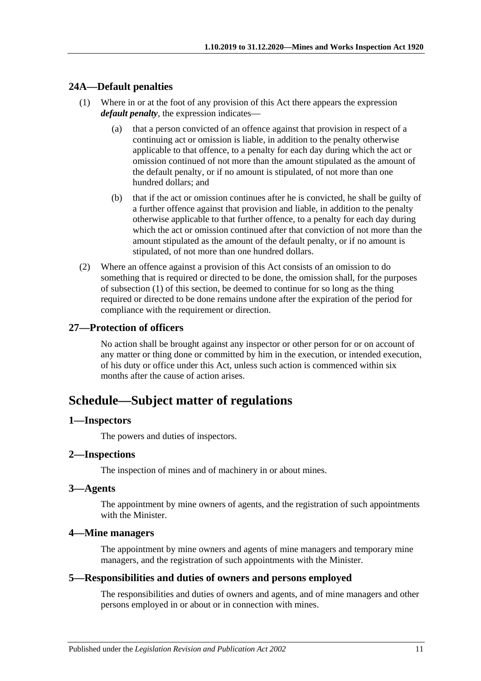### <span id="page-10-8"></span><span id="page-10-0"></span>**24A—Default penalties**

- (1) Where in or at the foot of any provision of this Act there appears the expression *default penalty*, the expression indicates—
	- (a) that a person convicted of an offence against that provision in respect of a continuing act or omission is liable, in addition to the penalty otherwise applicable to that offence, to a penalty for each day during which the act or omission continued of not more than the amount stipulated as the amount of the default penalty, or if no amount is stipulated, of not more than one hundred dollars; and
	- (b) that if the act or omission continues after he is convicted, he shall be guilty of a further offence against that provision and liable, in addition to the penalty otherwise applicable to that further offence, to a penalty for each day during which the act or omission continued after that conviction of not more than the amount stipulated as the amount of the default penalty, or if no amount is stipulated, of not more than one hundred dollars.
- (2) Where an offence against a provision of this Act consists of an omission to do something that is required or directed to be done, the omission shall, for the purposes of [subsection](#page-10-8) (1) of this section, be deemed to continue for so long as the thing required or directed to be done remains undone after the expiration of the period for compliance with the requirement or direction.

#### <span id="page-10-1"></span>**27—Protection of officers**

No action shall be brought against any inspector or other person for or on account of any matter or thing done or committed by him in the execution, or intended execution, of his duty or office under this Act, unless such action is commenced within six months after the cause of action arises.

# <span id="page-10-2"></span>**Schedule—Subject matter of regulations**

#### <span id="page-10-3"></span>**1—Inspectors**

The powers and duties of inspectors.

#### <span id="page-10-4"></span>**2—Inspections**

The inspection of mines and of machinery in or about mines.

#### <span id="page-10-5"></span>**3—Agents**

The appointment by mine owners of agents, and the registration of such appointments with the Minister.

#### <span id="page-10-6"></span>**4—Mine managers**

The appointment by mine owners and agents of mine managers and temporary mine managers, and the registration of such appointments with the Minister.

#### <span id="page-10-7"></span>**5—Responsibilities and duties of owners and persons employed**

The responsibilities and duties of owners and agents, and of mine managers and other persons employed in or about or in connection with mines.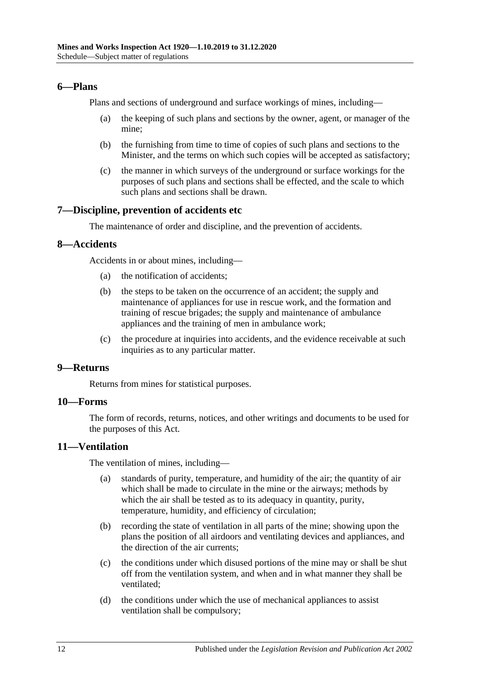#### <span id="page-11-0"></span>**6—Plans**

Plans and sections of underground and surface workings of mines, including—

- (a) the keeping of such plans and sections by the owner, agent, or manager of the mine;
- (b) the furnishing from time to time of copies of such plans and sections to the Minister, and the terms on which such copies will be accepted as satisfactory;
- (c) the manner in which surveys of the underground or surface workings for the purposes of such plans and sections shall be effected, and the scale to which such plans and sections shall be drawn.

#### <span id="page-11-1"></span>**7—Discipline, prevention of accidents etc**

The maintenance of order and discipline, and the prevention of accidents.

#### <span id="page-11-2"></span>**8—Accidents**

Accidents in or about mines, including—

- (a) the notification of accidents;
- (b) the steps to be taken on the occurrence of an accident; the supply and maintenance of appliances for use in rescue work, and the formation and training of rescue brigades; the supply and maintenance of ambulance appliances and the training of men in ambulance work;
- (c) the procedure at inquiries into accidents, and the evidence receivable at such inquiries as to any particular matter.

#### <span id="page-11-3"></span>**9—Returns**

Returns from mines for statistical purposes.

## <span id="page-11-4"></span>**10—Forms**

The form of records, returns, notices, and other writings and documents to be used for the purposes of this Act.

#### <span id="page-11-5"></span>**11—Ventilation**

The ventilation of mines, including—

- (a) standards of purity, temperature, and humidity of the air; the quantity of air which shall be made to circulate in the mine or the airways; methods by which the air shall be tested as to its adequacy in quantity, purity, temperature, humidity, and efficiency of circulation;
- (b) recording the state of ventilation in all parts of the mine; showing upon the plans the position of all airdoors and ventilating devices and appliances, and the direction of the air currents;
- (c) the conditions under which disused portions of the mine may or shall be shut off from the ventilation system, and when and in what manner they shall be ventilated;
- (d) the conditions under which the use of mechanical appliances to assist ventilation shall be compulsory;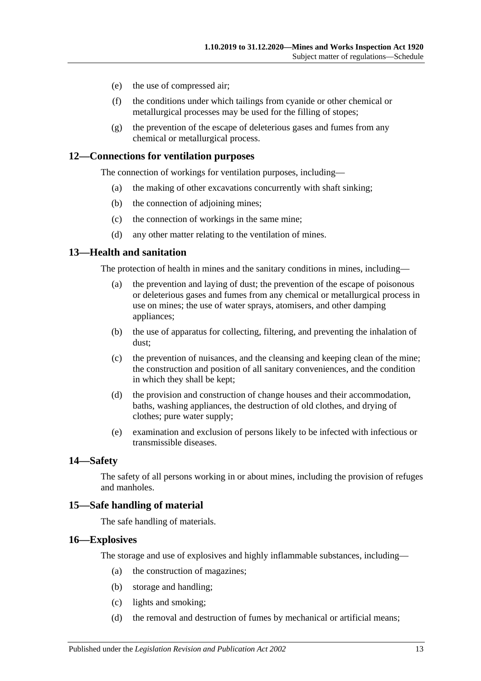- (e) the use of compressed air;
- (f) the conditions under which tailings from cyanide or other chemical or metallurgical processes may be used for the filling of stopes;
- (g) the prevention of the escape of deleterious gases and fumes from any chemical or metallurgical process.

#### <span id="page-12-0"></span>**12—Connections for ventilation purposes**

The connection of workings for ventilation purposes, including—

- (a) the making of other excavations concurrently with shaft sinking;
- (b) the connection of adjoining mines;
- (c) the connection of workings in the same mine;
- (d) any other matter relating to the ventilation of mines.

#### <span id="page-12-1"></span>**13—Health and sanitation**

The protection of health in mines and the sanitary conditions in mines, including—

- (a) the prevention and laying of dust; the prevention of the escape of poisonous or deleterious gases and fumes from any chemical or metallurgical process in use on mines; the use of water sprays, atomisers, and other damping appliances;
- (b) the use of apparatus for collecting, filtering, and preventing the inhalation of dust;
- (c) the prevention of nuisances, and the cleansing and keeping clean of the mine; the construction and position of all sanitary conveniences, and the condition in which they shall be kept;
- (d) the provision and construction of change houses and their accommodation, baths, washing appliances, the destruction of old clothes, and drying of clothes; pure water supply;
- (e) examination and exclusion of persons likely to be infected with infectious or transmissible diseases.

#### <span id="page-12-2"></span>**14—Safety**

The safety of all persons working in or about mines, including the provision of refuges and manholes.

#### <span id="page-12-3"></span>**15—Safe handling of material**

The safe handling of materials.

#### <span id="page-12-4"></span>**16—Explosives**

The storage and use of explosives and highly inflammable substances, including—

- (a) the construction of magazines;
- (b) storage and handling;
- (c) lights and smoking;
- (d) the removal and destruction of fumes by mechanical or artificial means;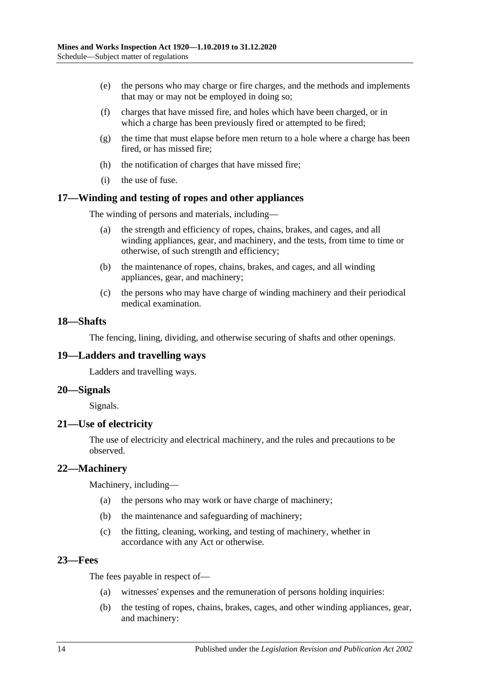- (e) the persons who may charge or fire charges, and the methods and implements that may or may not be employed in doing so;
- (f) charges that have missed fire, and holes which have been charged, or in which a charge has been previously fired or attempted to be fired;
- (g) the time that must elapse before men return to a hole where a charge has been fired, or has missed fire;
- (h) the notification of charges that have missed fire;
- (i) the use of fuse.

#### <span id="page-13-0"></span>**17—Winding and testing of ropes and other appliances**

The winding of persons and materials, including—

- (a) the strength and efficiency of ropes, chains, brakes, and cages, and all winding appliances, gear, and machinery, and the tests, from time to time or otherwise, of such strength and efficiency;
- (b) the maintenance of ropes, chains, brakes, and cages, and all winding appliances, gear, and machinery;
- (c) the persons who may have charge of winding machinery and their periodical medical examination.

#### <span id="page-13-1"></span>**18—Shafts**

The fencing, lining, dividing, and otherwise securing of shafts and other openings.

#### <span id="page-13-2"></span>**19—Ladders and travelling ways**

Ladders and travelling ways.

#### <span id="page-13-3"></span>**20—Signals**

Signals.

#### <span id="page-13-4"></span>**21—Use of electricity**

The use of electricity and electrical machinery, and the rules and precautions to be observed.

#### <span id="page-13-5"></span>**22—Machinery**

Machinery, including—

- (a) the persons who may work or have charge of machinery;
- (b) the maintenance and safeguarding of machinery;
- (c) the fitting, cleaning, working, and testing of machinery, whether in accordance with any Act or otherwise.

#### <span id="page-13-6"></span>**23—Fees**

The fees payable in respect of—

- (a) witnesses' expenses and the remuneration of persons holding inquiries:
- (b) the testing of ropes, chains, brakes, cages, and other winding appliances, gear, and machinery: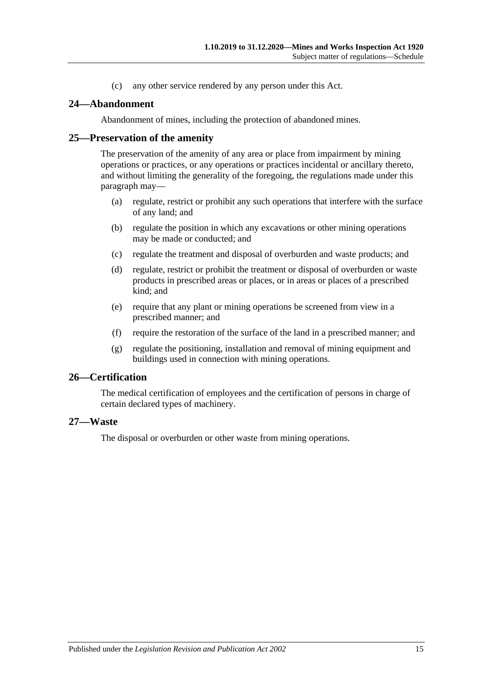(c) any other service rendered by any person under this Act.

#### <span id="page-14-0"></span>**24—Abandonment**

Abandonment of mines, including the protection of abandoned mines.

#### <span id="page-14-1"></span>**25—Preservation of the amenity**

The preservation of the amenity of any area or place from impairment by mining operations or practices, or any operations or practices incidental or ancillary thereto, and without limiting the generality of the foregoing, the regulations made under this paragraph may—

- (a) regulate, restrict or prohibit any such operations that interfere with the surface of any land; and
- (b) regulate the position in which any excavations or other mining operations may be made or conducted; and
- (c) regulate the treatment and disposal of overburden and waste products; and
- (d) regulate, restrict or prohibit the treatment or disposal of overburden or waste products in prescribed areas or places, or in areas or places of a prescribed kind; and
- (e) require that any plant or mining operations be screened from view in a prescribed manner; and
- (f) require the restoration of the surface of the land in a prescribed manner; and
- (g) regulate the positioning, installation and removal of mining equipment and buildings used in connection with mining operations.

#### <span id="page-14-2"></span>**26—Certification**

The medical certification of employees and the certification of persons in charge of certain declared types of machinery.

#### <span id="page-14-3"></span>**27—Waste**

The disposal or overburden or other waste from mining operations.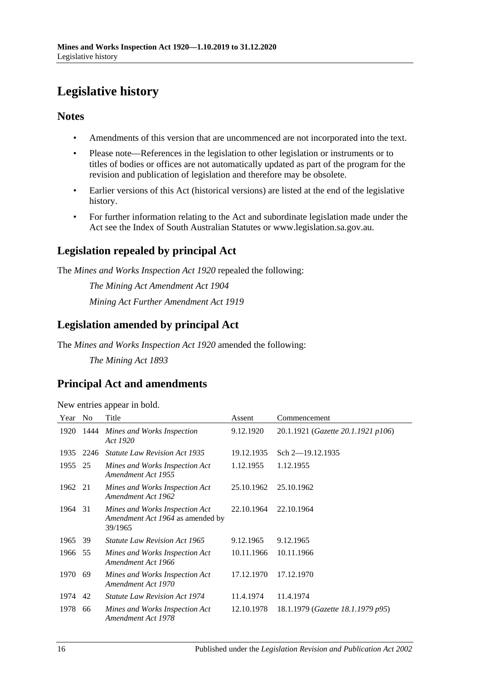# <span id="page-15-0"></span>**Legislative history**

## **Notes**

- Amendments of this version that are uncommenced are not incorporated into the text.
- Please note—References in the legislation to other legislation or instruments or to titles of bodies or offices are not automatically updated as part of the program for the revision and publication of legislation and therefore may be obsolete.
- Earlier versions of this Act (historical versions) are listed at the end of the legislative history.
- For further information relating to the Act and subordinate legislation made under the Act see the Index of South Australian Statutes or www.legislation.sa.gov.au.

# **Legislation repealed by principal Act**

The *Mines and Works Inspection Act 1920* repealed the following:

*The Mining Act Amendment Act 1904 Mining Act Further Amendment Act 1919*

# **Legislation amended by principal Act**

The *Mines and Works Inspection Act 1920* amended the following:

*The Mining Act 1893*

# **Principal Act and amendments**

New entries appear in bold.

| Year | N <sub>0</sub> | Title                                                                         | Assent     | Commencement                       |
|------|----------------|-------------------------------------------------------------------------------|------------|------------------------------------|
| 1920 | 1444           | Mines and Works Inspection<br>Act 1920                                        | 9.12.1920  | 20.1.1921 (Gazette 20.1.1921 p106) |
| 1935 | 2246           | <b>Statute Law Revision Act 1935</b>                                          | 19.12.1935 | Sch $2$ -19.12.1935                |
| 1955 | 25             | Mines and Works Inspection Act<br>Amendment Act 1955                          | 1.12.1955  | 1.12.1955                          |
| 1962 | 21             | Mines and Works Inspection Act<br>Amendment Act 1962                          | 25.10.1962 | 25.10.1962                         |
| 1964 | 31             | Mines and Works Inspection Act<br>Amendment Act 1964 as amended by<br>39/1965 | 22.10.1964 | 22.10.1964                         |
| 1965 | 39             | <i>Statute Law Revision Act 1965</i>                                          | 9.12.1965  | 9.12.1965                          |
| 1966 | 55             | Mines and Works Inspection Act<br>Amendment Act 1966                          | 10.11.1966 | 10.11.1966                         |
| 1970 | 69             | Mines and Works Inspection Act<br>Amendment Act 1970                          | 17.12.1970 | 17.12.1970                         |
| 1974 | 42             | <i>Statute Law Revision Act 1974</i>                                          | 11.4.1974  | 11.4.1974                          |
| 1978 | 66             | Mines and Works Inspection Act<br>Amendment Act 1978                          | 12.10.1978 | 18.1.1979 (Gazette 18.1.1979 p95)  |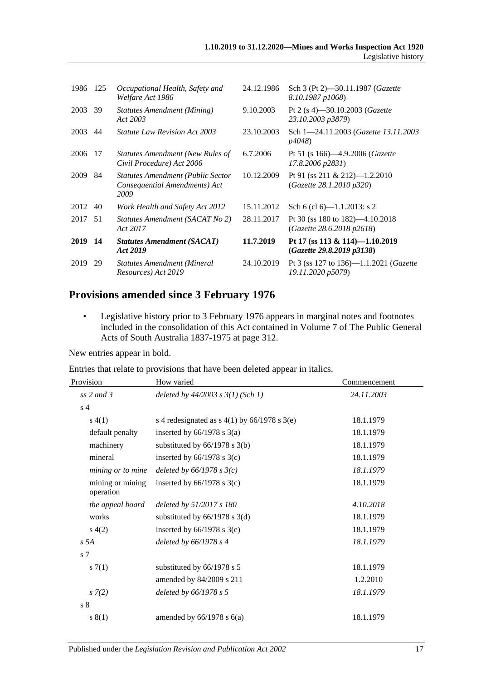| 1986 | 125 | Occupational Health, Safety and<br>Welfare Act 1986                               | 24.12.1986 | Sch 3 (Pt 2)–30.11.1987 ( <i>Gazette</i><br>8.10.1987 p1068)        |
|------|-----|-----------------------------------------------------------------------------------|------------|---------------------------------------------------------------------|
| 2003 | 39  | Statutes Amendment (Mining)<br>Act 2003                                           | 9.10.2003  | Pt 2 (s 4)–30.10.2003 ( <i>Gazette</i><br>23.10.2003 p3879)         |
| 2003 | 44  | <i>Statute Law Revision Act 2003</i>                                              | 23.10.2003 | Sch 1-24.11.2003 (Gazette 13.11.2003)<br><i>p4048</i> )             |
| 2006 | 17  | Statutes Amendment (New Rules of<br>Civil Procedure) Act 2006                     | 6.7.2006   | Pt 51 (s 166)—4.9.2006 ( <i>Gazette</i><br>17.8.2006 p2831)         |
| 2009 | 84  | <b>Statutes Amendment (Public Sector</b><br>Consequential Amendments) Act<br>2009 | 10.12.2009 | Pt 91 (ss 211 & 212)-1.2.2010<br>(Gazette 28.1.2010 p320)           |
| 2012 | 40  | Work Health and Safety Act 2012                                                   | 15.11.2012 | Sch 6 (cl 6)— $1.1.2013$ : s 2                                      |
| 2017 | 51  | Statutes Amendment (SACAT No 2)<br>Act 2017                                       | 28.11.2017 | Pt 30 (ss $180$ to $182$ )—4.10.2018<br>(Gazette 28.6.2018 p2618)   |
| 2019 | 14  | <b>Statutes Amendment (SACAT)</b><br>Act 2019                                     | 11.7.2019  | Pt 17 (ss 113 & 114)-1.10.2019<br>(Gazette 29.8.2019 p3138)         |
| 2019 | 29  | <b>Statutes Amendment (Mineral</b><br>Resources) Act 2019                         | 24.10.2019 | Pt 3 (ss 127 to 136)—1.1.2021 ( <i>Gazette</i><br>19.11.2020 p5079) |

# **Provisions amended since 3 February 1976**

• Legislative history prior to 3 February 1976 appears in marginal notes and footnotes included in the consolidation of this Act contained in Volume 7 of The Public General Acts of South Australia 1837-1975 at page 312.

New entries appear in bold.

Entries that relate to provisions that have been deleted appear in italics.

| Provision                     | How varied                                     | Commencement |  |
|-------------------------------|------------------------------------------------|--------------|--|
| ss $2$ and $3$                | deleted by $44/2003$ s $3(1)$ (Sch 1)          | 24.11.2003   |  |
| s <sub>4</sub>                |                                                |              |  |
| s(4(1))                       | s 4 redesignated as $s$ 4(1) by 66/1978 s 3(e) | 18.1.1979    |  |
| default penalty               | inserted by $66/1978$ s $3(a)$                 | 18.1.1979    |  |
| machinery                     | substituted by $66/1978$ s $3(b)$              | 18.1.1979    |  |
| mineral                       | inserted by $66/1978$ s $3(c)$                 | 18.1.1979    |  |
| mining or to mine             | deleted by $66/1978$ s $3(c)$                  | 18.1.1979    |  |
| mining or mining<br>operation | inserted by $66/1978$ s $3(c)$                 | 18.1.1979    |  |
| the appeal board              | deleted by $51/2017 s 180$                     | 4.10.2018    |  |
| works                         | substituted by $66/1978$ s 3(d)                | 18.1.1979    |  |
| s(4(2)                        | inserted by $66/1978$ s $3(e)$                 | 18.1.1979    |  |
| s 5A                          | deleted by $66/1978 s 4$                       | 18.1.1979    |  |
| s 7                           |                                                |              |  |
| s(7(1)                        | substituted by 66/1978 s 5                     | 18.1.1979    |  |
|                               | amended by 84/2009 s 211                       | 1.2.2010     |  |
| $s \, 7(2)$                   | deleted by 66/1978 s 5                         | 18.1.1979    |  |
| $\sqrt{s}$ 8                  |                                                |              |  |
| s(1)                          | amended by $66/1978$ s $6(a)$                  | 18.1.1979    |  |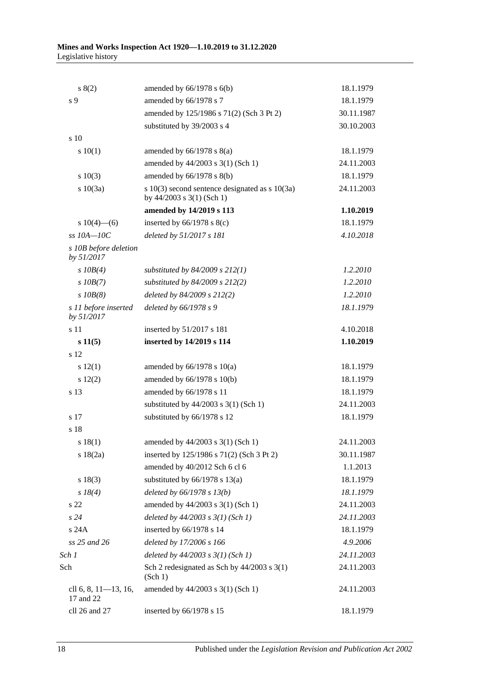| s(2)                                | amended by $66/1978$ s $6(b)$                                                       | 18.1.1979  |
|-------------------------------------|-------------------------------------------------------------------------------------|------------|
| s 9                                 | amended by 66/1978 s 7                                                              | 18.1.1979  |
|                                     | amended by 125/1986 s 71(2) (Sch 3 Pt 2)                                            | 30.11.1987 |
|                                     | substituted by 39/2003 s 4                                                          | 30.10.2003 |
| s 10                                |                                                                                     |            |
| 10(1)                               | amended by $66/1978$ s $8(a)$                                                       | 18.1.1979  |
|                                     | amended by 44/2003 s 3(1) (Sch 1)                                                   | 24.11.2003 |
| s 10(3)                             | amended by $66/1978$ s $8(b)$                                                       | 18.1.1979  |
| s 10(3a)                            | s $10(3)$ second sentence designated as s $10(3a)$<br>by $44/2003$ s $3(1)$ (Sch 1) | 24.11.2003 |
|                                     | amended by 14/2019 s 113                                                            | 1.10.2019  |
| s $10(4)$ —(6)                      | inserted by $66/1978$ s $8(c)$                                                      | 18.1.1979  |
| $ss$ $10A - 10C$                    | deleted by 51/2017 s 181                                                            | 4.10.2018  |
| s 10B before deletion<br>by 51/2017 |                                                                                     |            |
| $s$ 10B(4)                          | substituted by $84/2009$ s $212(1)$                                                 | 1.2.2010   |
| $s$ 10B(7)                          | substituted by 84/2009 s 212(2)                                                     | 1.2.2010   |
| $s$ $10B(8)$                        | deleted by 84/2009 s 212(2)                                                         | 1.2.2010   |
| s 11 before inserted<br>by 51/2017  | deleted by 66/1978 s 9                                                              | 18.1.1979  |
| s 11                                | inserted by 51/2017 s 181                                                           | 4.10.2018  |
| s 11(5)                             | inserted by 14/2019 s 114                                                           | 1.10.2019  |
| s 12                                |                                                                                     |            |
| s 12(1)                             | amended by $66/1978$ s $10(a)$                                                      | 18.1.1979  |
| 12(2)                               | amended by 66/1978 s 10(b)                                                          | 18.1.1979  |
| s 13                                | amended by 66/1978 s 11                                                             | 18.1.1979  |
|                                     | substituted by $44/2003$ s 3(1) (Sch 1)                                             | 24.11.2003 |
| s 17                                | substituted by 66/1978 s 12                                                         | 18.1.1979  |
| s 18                                |                                                                                     |            |
| $s$ 18(1)                           | amended by 44/2003 s 3(1) (Sch 1)                                                   | 24.11.2003 |
| s 18(2a)                            | inserted by 125/1986 s 71(2) (Sch 3 Pt 2)                                           | 30.11.1987 |
|                                     | amended by 40/2012 Sch 6 cl 6                                                       | 1.1.2013   |
| s 18(3)                             | substituted by $66/1978$ s $13(a)$                                                  | 18.1.1979  |
| $s \, 18(4)$                        | deleted by $66/1978 s 13(b)$                                                        | 18.1.1979  |
| s 22                                | amended by 44/2003 s 3(1) (Sch 1)                                                   | 24.11.2003 |
| s24                                 | deleted by $44/2003$ s $3(1)$ (Sch 1)                                               | 24.11.2003 |
| s 24A                               | inserted by 66/1978 s 14                                                            | 18.1.1979  |
| ss 25 and 26                        | deleted by 17/2006 s 166                                                            | 4.9.2006   |
| Sch 1                               | deleted by $44/2003$ s $3(1)$ (Sch 1)                                               | 24.11.2003 |
| Sch                                 | Sch 2 redesignated as Sch by $44/2003$ s 3(1)<br>(Sch 1)                            | 24.11.2003 |
| cll 6, 8, 11-13, 16,<br>17 and 22   | amended by 44/2003 s 3(1) (Sch 1)                                                   | 24.11.2003 |
| cll 26 and 27                       | inserted by 66/1978 s 15                                                            | 18.1.1979  |